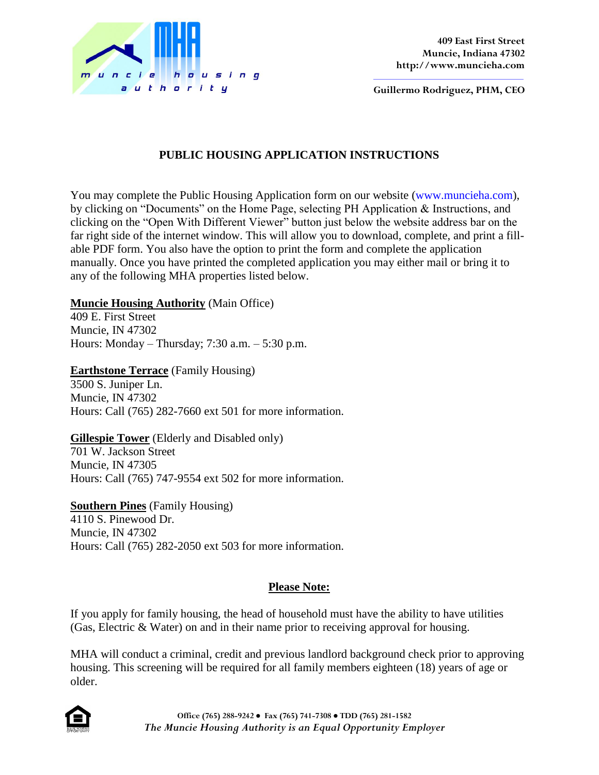

**Guillermo Rodriguez, PHM, CEO**

# **PUBLIC HOUSING APPLICATION INSTRUCTIONS**

You may complete the Public Housing Application form on our website (www.muncieha.com), by clicking on "Documents" on the Home Page, selecting PH Application & Instructions, and clicking on the "Open With Different Viewer" button just below the website address bar on the far right side of the internet window. This will allow you to download, complete, and print a fillable PDF form. You also have the option to print the form and complete the application manually. Once you have printed the completed application you may either mail or bring it to any of the following MHA properties listed below.

## **Muncie Housing Authority** (Main Office)

409 E. First Street Muncie, IN 47302 Hours: Monday – Thursday; 7:30 a.m. – 5:30 p.m.

**Earthstone Terrace** (Family Housing)

3500 S. Juniper Ln. Muncie, IN 47302 Hours: Call (765) 282-7660 ext 501 for more information.

### **Gillespie Tower** (Elderly and Disabled only)

701 W. Jackson Street Muncie, IN 47305 Hours: Call (765) 747-9554 ext 502 for more information.

**Southern Pines** (Family Housing) 4110 S. Pinewood Dr. Muncie, IN 47302 Hours: Call (765) 282-2050 ext 503 for more information.

## **Please Note:**

If you apply for family housing, the head of household must have the ability to have utilities (Gas, Electric & Water) on and in their name prior to receiving approval for housing.

MHA will conduct a criminal, credit and previous landlord background check prior to approving housing. This screening will be required for all family members eighteen (18) years of age or older.